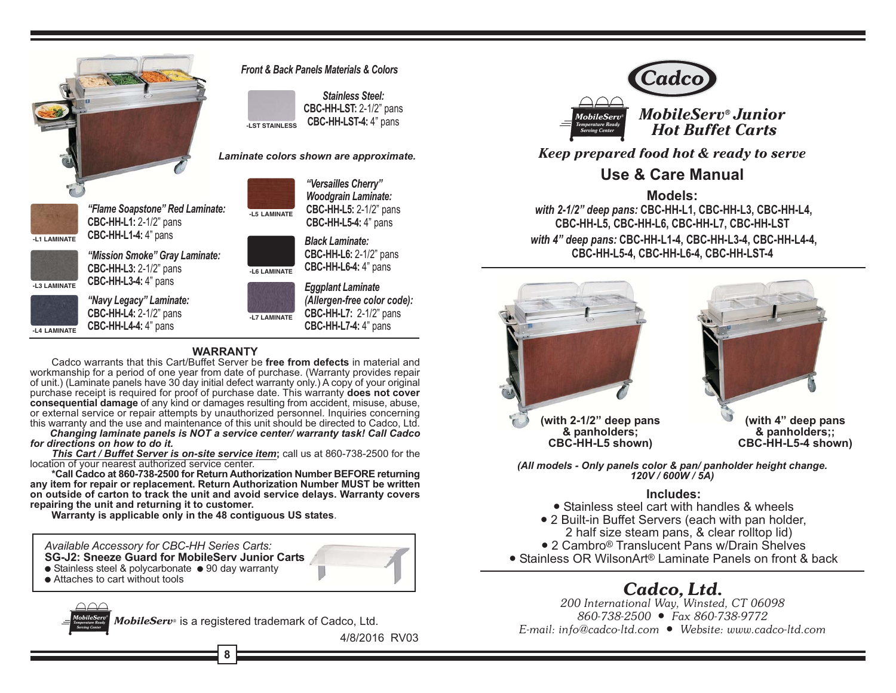

**Front & Back Panels Materials & Colors** 

**Stainless Steel:** CBC-HH-LST: 2-1/2" pans **CBC-HH-LST-4: 4" pans J ST STAINLESS** 

> "Versailles Cherry" **Woodgrain Laminate:**

CBC-HH-L5: 2-1/2" pans

CBC-HH-L5-4: 4" pans

**CBC-HH-L6: 2-1/2" pans** 

(Allergen-free color code):

**CBC-HH-L7: 2-1/2" pans** 

CBC-HH-L7-4: 4" pans

CBC-HH-L6-4: 4" pans

**Eggplant Laminate** 

**Black Laminate:** 

#### Laminate colors shown are approximate.



"Flame Soapstone" Red Laminate: **CBC-HH-L1: 2-1/2" pans** CBC-HH-L1-4: 4" pans



"Mission Smoke" Grav Laminate: CBC-HH-L3: 2-1/2" pans CBC-HH-L3-4: 4" pans

-L4 LAMINATE

"Navy Legacy" Laminate: **CBC-HH-L4: 2-1/2" pans** CBC-HH-L4-4: 4" pans

# $-171$  AMINATE

 $-1.5$  | AMINATE

-L6 LAMINATE

#### **WARRANTY**

Cadco warrants that this Cart/Buffet Server be free from defects in material and workmanship for a period of one year from date of purchase. (Warranty provides repair of unit.) (Laminate panels have 30 day initial defect warranty only.) A copy of your original purchase receipt is required for proof of purchase date. This warranty does not cover consequential damage of any kind or damages resulting from accident, misuse, abuse, or external service or repair attempts by unauthorized personnel. Inquiries concerning this warranty and the use and maintenance of this unit should be directed to Cadco, Ltd.

Changing laminate panels is NOT a service center/ warranty task! Call Cadco for directions on how to do it.

This Cart / Buffet Server is on-site service item: call us at 860-738-2500 for the location of your nearest authorized service center.

\*Call Cadco at 860-738-2500 for Return Authorization Number BEFORE returning any item for repair or replacement. Return Authorization Number MUST be written on outside of carton to track the unit and avoid service delays. Warranty covers repairing the unit and returning it to customer.

Warranty is applicable only in the 48 contiguous US states.

Available Accessory for CBC-HH Series Carts:

SG-J2: Sneeze Guard for MobileServ Junior Carts

- Stainless steel & polycarbonate 90 day warranty
- Attaches to cart without tools

MobileServ<sup>®</sup> is a registered trademark of Cadco, Ltd.

4/8/2016 RV03



**MobileServ<sup>®</sup>**Junior **Hot Buffet Carts** 

Keep prepared food hot & ready to serve

### Use & Care Manual

#### Models:

with 2-1/2" deep pans: CBC-HH-L1, CBC-HH-L3, CBC-HH-L4, CBC-HH-L5, CBC-HH-L6, CBC-HH-L7, CBC-HH-LST with 4" deep pans: CBC-HH-L1-4, CBC-HH-L3-4, CBC-HH-L4-4, CBC-HH-L5-4. CBC-HH-L6-4. CBC-HH-LST-4



& panholders: CBC-HH-L5 shown)

(with 4" deep pans & panholders:: CBC-HH-L5-4 shown)

(All models - Only panels color & pan/ panholder height change.  $120V/600W/5A$ 

#### Includes:

• Stainless steel cart with handles & wheels

- 2 Built-in Buffet Servers (each with pan holder, 2 half size steam pans, & clear rolltop lid)
- 2 Cambro<sup>®</sup> Translucent Pans w/Drain Shelves
- Stainless OR WilsonArt<sup>®</sup> Laminate Panels on front & back

## Cadco, Ltd.

200 International Way, Winsted, CT 06098 860-738-2500 ● Fax 860-738-9772 E-mail: info@cadco-ltd.com · Website: www.cadco-ltd.com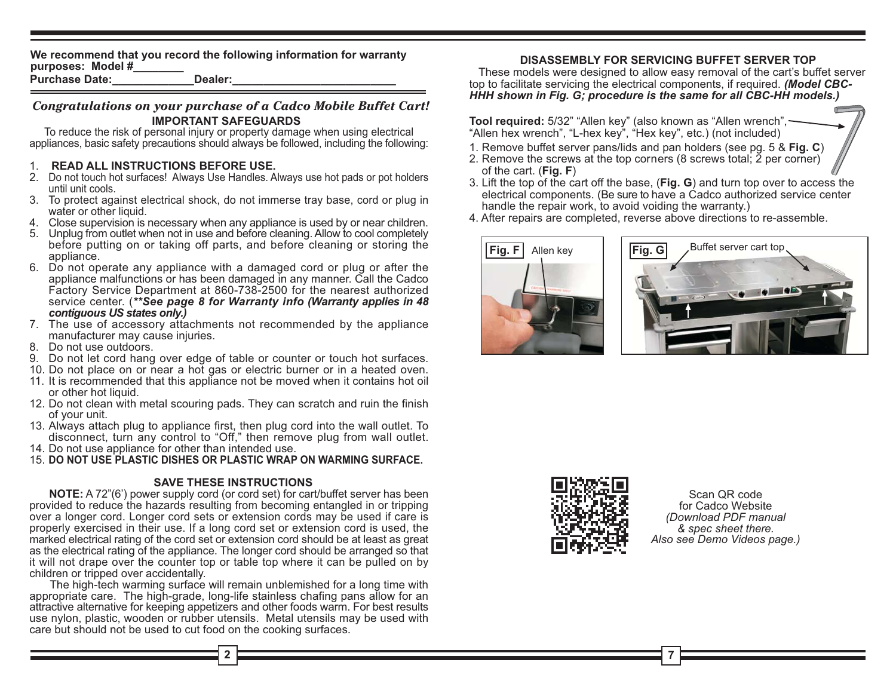We recommend that you record the following information for warranty purposes: Model #

**Purchase Date:** Dealer:

#### Congratulations on your purchase of a Cadco Mobile Buffet Cart! **IMPORTANT SAFEGUARDS**

To reduce the risk of personal injury or property damage when using electrical appliances, basic safety precautions should always be followed, including the following:

#### 1. READ ALL INSTRUCTIONS BEFORE USE.

- 2. Do not touch hot surfaces! Always Use Handles. Always use hot pads or pot holders until unit cools.
- 3. To protect against electrical shock, do not immerse tray base, cord or plug in water or other liquid.
- 4. Close supervision is necessary when any appliance is used by or near children.
- 5. Unplug from outlet when not in use and before cleaning. Allow to cool completely before putting on or taking off parts, and before cleaning or storing the appliance.
- 6. Do not operate any appliance with a damaged cord or plug or after the appliance malfunctions or has been damaged in any manner. Call the Cadco Factory Service Department at 860-738-2500 for the nearest authorized service center. (\*\*See page 8 for Warranty info (Warranty applies in 48 contiquous US states only.)
- 7. The use of accessory attachments not recommended by the appliance manufacturer may cause injuries.
- 8. Do not use outdoors.
- 9. Do not let cord hang over edge of table or counter or touch hot surfaces.
- 10. Do not place on or near a hot gas or electric burner or in a heated oven.
- 11. It is recommended that this appliance not be moved when it contains hot oil or other hot liquid.
- 12. Do not clean with metal scouring pads. They can scratch and ruin the finish of your unit.
- 13. Always attach plug to appliance first, then plug cord into the wall outlet. To disconnect, turn any control to "Off," then remove plug from wall outlet.
- 14. Do not use appliance for other than intended use.

15. DO NOT USE PLASTIC DISHES OR PLASTIC WRAP ON WARMING SURFACE.

#### **SAVE THESE INSTRUCTIONS**

**NOTE:** A 72"(6') power supply cord (or cord set) for cart/buffet server has been provided to reduce the hazards resulting from becoming entangled in or tripping over a longer cord. Longer cord sets or extension cords may be used if care is properly exercised in their use. If a long cord set or extension cord is used, the marked electrical rating of the cord set or extension cord should be at least as great as the electrical rating of the appliance. The longer cord should be arranged so that it will not drape over the counter top or table top where it can be pulled on by children or tripped over accidentally.

The high-tech warming surface will remain unblemished for a long time with appropriate care. The high-grade, long-life stainless chafing pans allow for an attractive alternative for keeping appetizers and other foods warm. For best results use nylon, plastic, wooden or rubber utensils. Metal utensils may be used with care but should not be used to cut food on the cooking surfaces.

#### **DISASSEMBLY FOR SERVICING BUFFET SERVER TOP**

These models were designed to allow easy removal of the cart's buffet server top to facilitate servicing the electrical components, if required. (Model CBC-HHH shown in Fig. G; procedure is the same for all CBC-HH models.)

Tool required: 5/32" "Allen key" (also known as "Allen wrench", -"Allen hex wrench", "L-hex key", "Hex key", etc.) (not included)

- 1. Remove buffet server pans/lids and pan holders (see pg. 5 & Fig. C)
- 2. Remove the screws at the top corners (8 screws total; 2 per corner) of the cart.  $(Fig. F)$
- 3. Lift the top of the cart off the base, (Fig. G) and turn top over to access the electrical components. (Be sure to have a Cadco authorized service center handle the repair work, to avoid voiding the warranty.)
- 4. After repairs are completed, reverse above directions to re-assemble.







Scan OR code for Cadco Website (Download PDF manual & spec sheet there. Also see Demo Videos page.)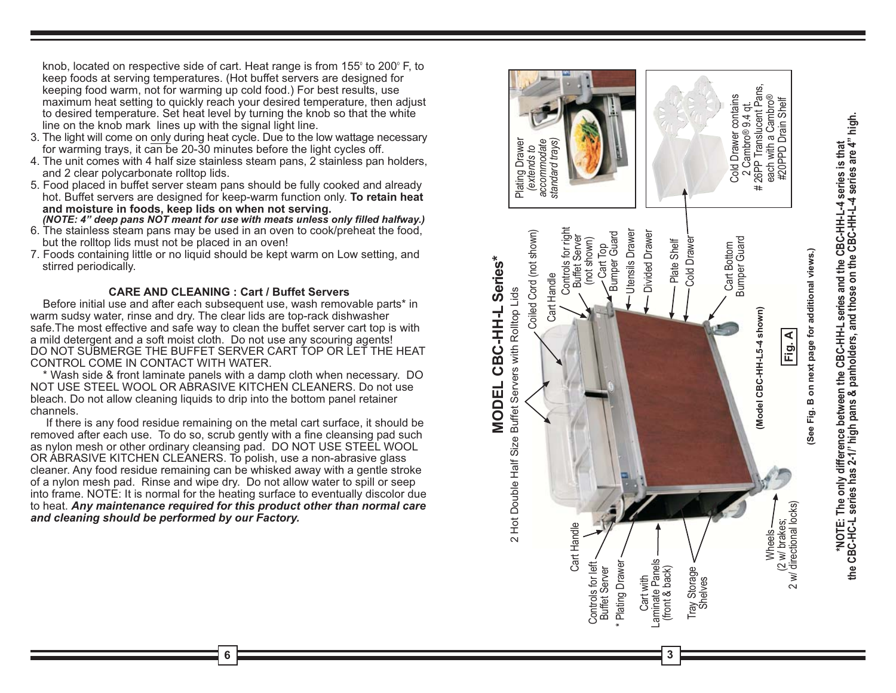knob, located on respective side of cart. Heat range is from 155° to 200° F, to keep foods at serving temperatures. (Hot buffet servers are designed for keeping food warm, not for warming up cold food.) For best results, use maximum heat setting to quickly reach your desired temperature, then adjust to desired temperature. Set heat level by turning the knob so that the white line on the knob mark lines up with the signal light line.

- 3. The light will come on only during heat cycle. Due to the low wattage necessary for warming trays, it can be 20-30 minutes before the light cycles off.
- 4. The unit comes with 4 half size stainless steam pans, 2 stainless pan holders, and 2 clear polycarbonate rolltop lids.
- 5. Food placed in buffet server steam pans should be fully cooked and already hot. Buffet servers are designed for keep-warm function only. To retain heat and moisture in foods, keep lids on when not serving.

(NOTE: 4" deep pans NOT meant for use with meats unless only filled halfway.)

- 6. The stainless steam pans may be used in an oven to cook/preheat the food, but the rolltop lids must not be placed in an oven!
- 7. Foods containing little or no liquid should be kept warm on Low setting, and stirred periodically.

#### **CARE AND CLEANING: Cart / Buffet Servers**

Before initial use and after each subsequent use, wash removable parts\* in warm sudsy water, rinse and dry. The clear lids are top-rack dishwasher safe. The most effective and safe way to clean the buffet server cart top is with a mild detergent and a soft moist cloth. Do not use any scouring agents! DO NOT SUBMERGE THE BUFFET SERVER CART TOP OR LET THE HEAT CONTROL COME IN CONTACT WITH WATER.

\* Wash side & front laminate panels with a damp cloth when necessary. DO NOT USE STEEL WOOL OR ABRASIVE KITCHEN CLEANERS. Do not use bleach. Do not allow cleaning liquids to drip into the bottom panel retainer channels.

If there is any food residue remaining on the metal cart surface, it should be removed after each use. To do so, scrub gently with a fine cleansing pad such as nylon mesh or other ordinary cleansing pad. DO NOT USE STEEL WOOL OR ABRASIVE KITCHEN CLEANERS. To polish, use a non-abrasive glass cleaner. Any food residue remaining can be whisked away with a gentle stroke of a nylon mesh pad. Rinse and wipe dry. Do not allow water to spill or seep into frame. NOTE: It is normal for the heating surface to eventually discolor due to heat. Any maintenance required for this product other than normal care and cleaning should be performed by our Factory.